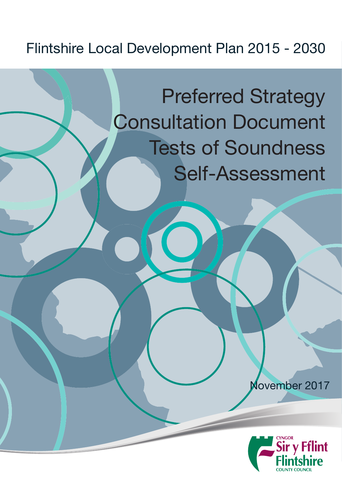## Flintshire Local Development Plan 2015 - 2030

## Preferred Strategy Consultation Document Tests of Soundness Self-Assessment

November 2017

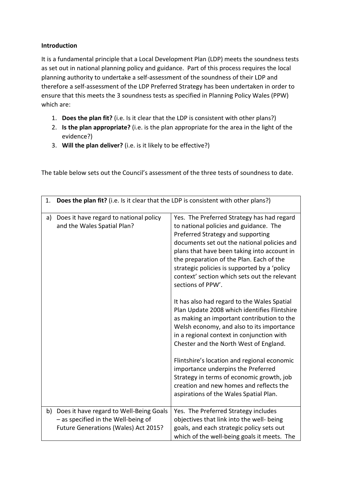## **Introduction**

It is a fundamental principle that a Local Development Plan (LDP) meets the soundness tests as set out in national planning policy and guidance. Part of this process requires the local planning authority to undertake a self-assessment of the soundness of their LDP and therefore a self-assessment of the LDP Preferred Strategy has been undertaken in order to ensure that this meets the 3 soundness tests as specified in Planning Policy Wales (PPW) which are:

- 1. **Does the plan fit?** (i.e. Is it clear that the LDP is consistent with other plans?)
- 2. **Is the plan appropriate?** (i.e. is the plan appropriate for the area in the light of the evidence?)
- 3. **Will the plan deliver?** (i.e. is it likely to be effective?)

The table below sets out the Council's assessment of the three tests of soundness to date.

| 1. | Does the plan fit? (i.e. Is it clear that the LDP is consistent with other plans?)                                     |                                                                                                                                                                                                                                                                                                                                                                                          |
|----|------------------------------------------------------------------------------------------------------------------------|------------------------------------------------------------------------------------------------------------------------------------------------------------------------------------------------------------------------------------------------------------------------------------------------------------------------------------------------------------------------------------------|
| a) | Does it have regard to national policy<br>and the Wales Spatial Plan?                                                  | Yes. The Preferred Strategy has had regard<br>to national policies and guidance. The<br>Preferred Strategy and supporting<br>documents set out the national policies and<br>plans that have been taking into account in<br>the preparation of the Plan. Each of the<br>strategic policies is supported by a 'policy<br>context' section which sets out the relevant<br>sections of PPW'. |
|    |                                                                                                                        | It has also had regard to the Wales Spatial<br>Plan Update 2008 which identifies Flintshire<br>as making an important contribution to the<br>Welsh economy, and also to its importance<br>in a regional context in conjunction with<br>Chester and the North West of England.                                                                                                            |
|    |                                                                                                                        | Flintshire's location and regional economic<br>importance underpins the Preferred<br>Strategy in terms of economic growth, job<br>creation and new homes and reflects the<br>aspirations of the Wales Spatial Plan.                                                                                                                                                                      |
| b) | Does it have regard to Well-Being Goals<br>- as specified in the Well-being of<br>Future Generations (Wales) Act 2015? | Yes. The Preferred Strategy includes<br>objectives that link into the well- being<br>goals, and each strategic policy sets out<br>which of the well-being goals it meets. The                                                                                                                                                                                                            |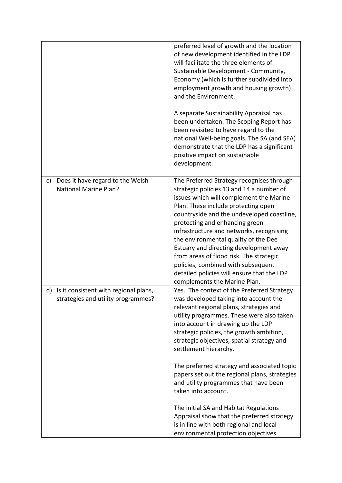|    |                                                                                | preferred level of growth and the location<br>of new development identified in the LDP<br>will facilitate the three elements of<br>Sustainable Development - Community,<br>Economy (which is further subdivided into<br>employment growth and housing growth)<br>and the Environment.                                                                                                                                                                                                                                                                |
|----|--------------------------------------------------------------------------------|------------------------------------------------------------------------------------------------------------------------------------------------------------------------------------------------------------------------------------------------------------------------------------------------------------------------------------------------------------------------------------------------------------------------------------------------------------------------------------------------------------------------------------------------------|
|    |                                                                                | A separate Sustainability Appraisal has<br>been undertaken. The Scoping Report has<br>been revisited to have regard to the<br>national Well-being goals. The SA (and SEA)<br>demonstrate that the LDP has a significant<br>positive impact on sustainable<br>development.                                                                                                                                                                                                                                                                            |
| c) | Does it have regard to the Welsh<br><b>National Marine Plan?</b>               | The Preferred Strategy recognises through<br>strategic policies 13 and 14 a number of<br>issues which will complement the Marine<br>Plan. These include protecting open<br>countryside and the undeveloped coastline,<br>protecting and enhancing green<br>infrastructure and networks, recognising<br>the environmental quality of the Dee<br>Estuary and directing development away<br>from areas of flood risk. The strategic<br>policies, combined with subsequent<br>detailed policies will ensure that the LDP<br>complements the Marine Plan. |
|    | d) Is it consistent with regional plans,<br>strategies and utility programmes? | Yes. The context of the Preferred Strategy<br>was developed taking into account the<br>relevant regional plans, strategies and<br>utility programmes. These were also taken<br>into account in drawing up the LDP<br>strategic policies, the growth ambition,<br>strategic objectives, spatial strategy and<br>settlement hierarchy.                                                                                                                                                                                                                 |
|    |                                                                                | The preferred strategy and associated topic<br>papers set out the regional plans, strategies<br>and utility programmes that have been<br>taken into account.                                                                                                                                                                                                                                                                                                                                                                                         |
|    |                                                                                | The initial SA and Habitat Regulations<br>Appraisal show that the preferred strategy<br>is in line with both regional and local<br>environmental protection objectives.                                                                                                                                                                                                                                                                                                                                                                              |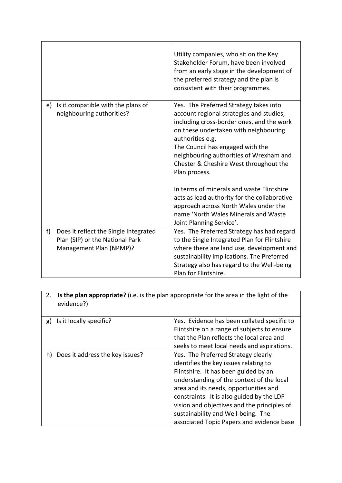|    |                                                                                                     | Utility companies, who sit on the Key<br>Stakeholder Forum, have been involved<br>from an early stage in the development of<br>the preferred strategy and the plan is<br>consistent with their programmes.                                                                                                                             |
|----|-----------------------------------------------------------------------------------------------------|----------------------------------------------------------------------------------------------------------------------------------------------------------------------------------------------------------------------------------------------------------------------------------------------------------------------------------------|
| e) | Is it compatible with the plans of<br>neighbouring authorities?                                     | Yes. The Preferred Strategy takes into<br>account regional strategies and studies,<br>including cross-border ones, and the work<br>on these undertaken with neighbouring<br>authorities e.g.<br>The Council has engaged with the<br>neighbouring authorities of Wrexham and<br>Chester & Cheshire West throughout the<br>Plan process. |
|    |                                                                                                     | In terms of minerals and waste Flintshire<br>acts as lead authority for the collaborative<br>approach across North Wales under the<br>name 'North Wales Minerals and Waste<br>Joint Planning Service'.                                                                                                                                 |
| f  | Does it reflect the Single Integrated<br>Plan (SIP) or the National Park<br>Management Plan (NPMP)? | Yes. The Preferred Strategy has had regard<br>to the Single Integrated Plan for Flintshire<br>where there are land use, development and<br>sustainability implications. The Preferred<br>Strategy also has regard to the Well-being<br>Plan for Flintshire.                                                                            |

| <b>Is the plan appropriate?</b> (i.e. is the plan appropriate for the area in the light of the<br>2.<br>evidence?) |                                                                                                                                                                                                                                                                                                                                                                                           |
|--------------------------------------------------------------------------------------------------------------------|-------------------------------------------------------------------------------------------------------------------------------------------------------------------------------------------------------------------------------------------------------------------------------------------------------------------------------------------------------------------------------------------|
| Is it locally specific?<br>g)                                                                                      | Yes. Evidence has been collated specific to<br>Flintshire on a range of subjects to ensure<br>that the Plan reflects the local area and<br>seeks to meet local needs and aspirations.                                                                                                                                                                                                     |
| Does it address the key issues?<br>h)                                                                              | Yes. The Preferred Strategy clearly<br>identifies the key issues relating to<br>Flintshire. It has been guided by an<br>understanding of the context of the local<br>area and its needs, opportunities and<br>constraints. It is also guided by the LDP<br>vision and objectives and the principles of<br>sustainability and Well-being. The<br>associated Topic Papers and evidence base |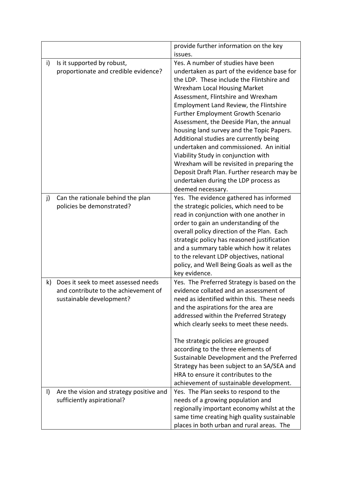|         |                                          | provide further information on the key                                                   |
|---------|------------------------------------------|------------------------------------------------------------------------------------------|
|         |                                          | issues.                                                                                  |
| i)      | Is it supported by robust,               | Yes. A number of studies have been                                                       |
|         | proportionate and credible evidence?     | undertaken as part of the evidence base for                                              |
|         |                                          | the LDP. These include the Flintshire and                                                |
|         |                                          | <b>Wrexham Local Housing Market</b>                                                      |
|         |                                          | Assessment, Flintshire and Wrexham                                                       |
|         |                                          | Employment Land Review, the Flintshire                                                   |
|         |                                          | <b>Further Employment Growth Scenario</b>                                                |
|         |                                          | Assessment, the Deeside Plan, the annual                                                 |
|         |                                          | housing land survey and the Topic Papers.                                                |
|         |                                          | Additional studies are currently being                                                   |
|         |                                          | undertaken and commissioned. An initial                                                  |
|         |                                          | Viability Study in conjunction with                                                      |
|         |                                          | Wrexham will be revisited in preparing the                                               |
|         |                                          | Deposit Draft Plan. Further research may be                                              |
|         |                                          | undertaken during the LDP process as                                                     |
|         |                                          | deemed necessary.                                                                        |
| j)      | Can the rationale behind the plan        | Yes. The evidence gathered has informed                                                  |
|         | policies be demonstrated?                | the strategic policies, which need to be                                                 |
|         |                                          | read in conjunction with one another in                                                  |
|         |                                          | order to gain an understanding of the<br>overall policy direction of the Plan. Each      |
|         |                                          | strategic policy has reasoned justification                                              |
|         |                                          | and a summary table which how it relates                                                 |
|         |                                          | to the relevant LDP objectives, national                                                 |
|         |                                          | policy, and Well Being Goals as well as the                                              |
|         |                                          | key evidence.                                                                            |
| k)      | Does it seek to meet assessed needs      | Yes. The Preferred Strategy is based on the                                              |
|         | and contribute to the achievement of     | evidence collated and an assessment of                                                   |
|         | sustainable development?                 | need as identified within this. These needs                                              |
|         |                                          | and the aspirations for the area are                                                     |
|         |                                          | addressed within the Preferred Strategy                                                  |
|         |                                          | which clearly seeks to meet these needs.                                                 |
|         |                                          |                                                                                          |
|         |                                          | The strategic policies are grouped                                                       |
|         |                                          | according to the three elements of                                                       |
|         |                                          | Sustainable Development and the Preferred                                                |
|         |                                          | Strategy has been subject to an SA/SEA and                                               |
|         |                                          | HRA to ensure it contributes to the                                                      |
|         |                                          | achievement of sustainable development.                                                  |
| $\vert$ | Are the vision and strategy positive and | Yes. The Plan seeks to respond to the                                                    |
|         | sufficiently aspirational?               | needs of a growing population and                                                        |
|         |                                          | regionally important economy whilst at the                                               |
|         |                                          | same time creating high quality sustainable<br>places in both urban and rural areas. The |
|         |                                          |                                                                                          |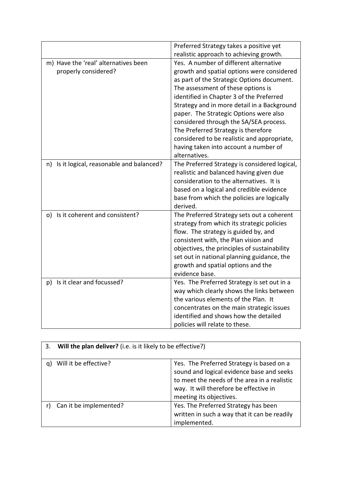|                                            | Preferred Strategy takes a positive yet       |
|--------------------------------------------|-----------------------------------------------|
|                                            | realistic approach to achieving growth.       |
| m) Have the 'real' alternatives been       | Yes. A number of different alternative        |
| properly considered?                       | growth and spatial options were considered    |
|                                            | as part of the Strategic Options document.    |
|                                            | The assessment of these options is            |
|                                            | identified in Chapter 3 of the Preferred      |
|                                            | Strategy and in more detail in a Background   |
|                                            | paper. The Strategic Options were also        |
|                                            | considered through the SA/SEA process.        |
|                                            | The Preferred Strategy is therefore           |
|                                            | considered to be realistic and appropriate,   |
|                                            | having taken into account a number of         |
|                                            | alternatives.                                 |
| n) Is it logical, reasonable and balanced? | The Preferred Strategy is considered logical, |
|                                            | realistic and balanced having given due       |
|                                            | consideration to the alternatives. It is      |
|                                            | based on a logical and credible evidence      |
|                                            | base from which the policies are logically    |
|                                            | derived.                                      |
| Is it coherent and consistent?<br>o)       | The Preferred Strategy sets out a coherent    |
|                                            | strategy from which its strategic policies    |
|                                            | flow. The strategy is guided by, and          |
|                                            | consistent with, the Plan vision and          |
|                                            | objectives, the principles of sustainability  |
|                                            | set out in national planning guidance, the    |
|                                            | growth and spatial options and the            |
|                                            | evidence base.                                |
| p) Is it clear and focussed?               | Yes. The Preferred Strategy is set out in a   |
|                                            | way which clearly shows the links between     |
|                                            | the various elements of the Plan. It          |
|                                            | concentrates on the main strategic issues     |
|                                            | identified and shows how the detailed         |
|                                            | policies will relate to these.                |

| 3. | Will the plan deliver? (i.e. is it likely to be effective?) |                                                                                                                                                                                                             |
|----|-------------------------------------------------------------|-------------------------------------------------------------------------------------------------------------------------------------------------------------------------------------------------------------|
| a. | Will it be effective?                                       | Yes. The Preferred Strategy is based on a<br>sound and logical evidence base and seeks<br>to meet the needs of the area in a realistic<br>way. It will therefore be effective in<br>meeting its objectives. |
|    | Can it be implemented?                                      | Yes. The Preferred Strategy has been<br>written in such a way that it can be readily<br>implemented.                                                                                                        |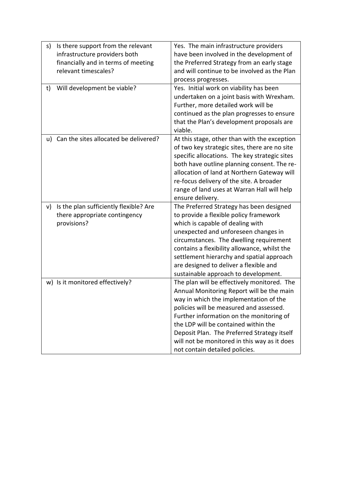| s) | Is there support from the relevant<br>infrastructure providers both<br>financially and in terms of meeting<br>relevant timescales? | Yes. The main infrastructure providers<br>have been involved in the development of<br>the Preferred Strategy from an early stage<br>and will continue to be involved as the Plan<br>process progresses.                                                                                                                                                                                            |
|----|------------------------------------------------------------------------------------------------------------------------------------|----------------------------------------------------------------------------------------------------------------------------------------------------------------------------------------------------------------------------------------------------------------------------------------------------------------------------------------------------------------------------------------------------|
| t) | Will development be viable?                                                                                                        | Yes. Initial work on viability has been<br>undertaken on a joint basis with Wrexham.<br>Further, more detailed work will be<br>continued as the plan progresses to ensure<br>that the Plan's development proposals are<br>viable.                                                                                                                                                                  |
|    | u) Can the sites allocated be delivered?                                                                                           | At this stage, other than with the exception<br>of two key strategic sites, there are no site<br>specific allocations. The key strategic sites<br>both have outline planning consent. The re-<br>allocation of land at Northern Gateway will<br>re-focus delivery of the site. A broader<br>range of land uses at Warran Hall will help<br>ensure delivery.                                        |
| v) | Is the plan sufficiently flexible? Are<br>there appropriate contingency<br>provisions?                                             | The Preferred Strategy has been designed<br>to provide a flexible policy framework<br>which is capable of dealing with<br>unexpected and unforeseen changes in<br>circumstances. The dwelling requirement<br>contains a flexibility allowance, whilst the<br>settlement hierarchy and spatial approach<br>are designed to deliver a flexible and<br>sustainable approach to development.           |
|    | w) Is it monitored effectively?                                                                                                    | The plan will be effectively monitored. The<br>Annual Monitoring Report will be the main<br>way in which the implementation of the<br>policies will be measured and assessed.<br>Further information on the monitoring of<br>the LDP will be contained within the<br>Deposit Plan. The Preferred Strategy itself<br>will not be monitored in this way as it does<br>not contain detailed policies. |